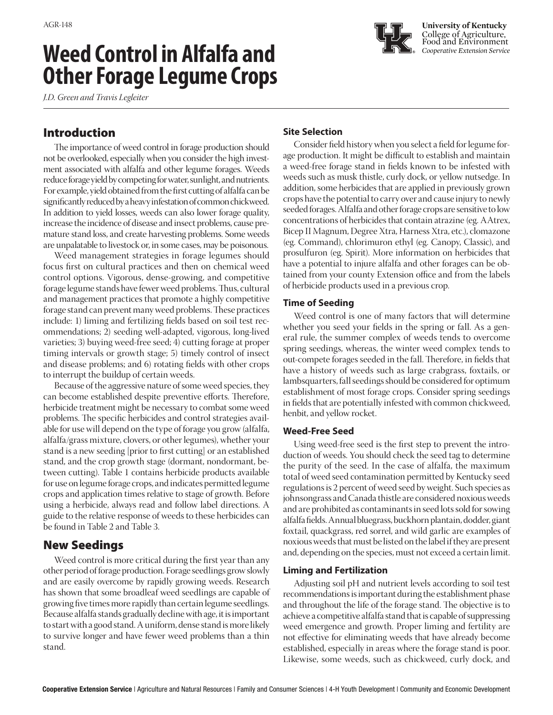# **Weed Control in Alfalfa and Other Forage Legume Crops**

*J.D. Green and Travis Legleiter* 

# Introduction

The importance of weed control in forage production should not be overlooked, especially when you consider the high investment associated with alfalfa and other legume forages. Weeds reduce forage yield by competing for water, sunlight, and nutrients. For example, yield obtained from the first cutting of alfalfa can be significantly reduced by a heavy infestation of common chickweed. In addition to yield losses, weeds can also lower forage quality, increase the incidence of disease and insect problems, cause premature stand loss, and create harvesting problems. Some weeds are unpalatable to livestock or, in some cases, may be poisonous.

Weed management strategies in forage legumes should focus first on cultural practices and then on chemical weed control options. Vigorous, dense-growing, and competitive forage legume stands have fewer weed problems. Thus, cultural and management practices that promote a highly competitive forage stand can prevent many weed problems. These practices include: 1) liming and fertilizing fields based on soil test recommendations; 2) seeding well-adapted, vigorous, long-lived varieties; 3) buying weed-free seed; 4) cutting forage at proper timing intervals or growth stage; 5) timely control of insect and disease problems; and 6) rotating fields with other crops to interrupt the buildup of certain weeds.

Because of the aggressive nature of some weed species, they can become established despite preventive efforts. Therefore, herbicide treatment might be necessary to combat some weed problems. The specific herbicides and control strategies available for use will depend on the type of forage you grow (alfalfa, alfalfa/grass mixture, clovers, or other legumes), whether your stand is a new seeding [prior to first cutting] or an established stand, and the crop growth stage (dormant, nondormant, between cutting). Table 1 contains herbicide products available for use on legume forage crops, and indicates permitted legume crops and application times relative to stage of growth. Before using a herbicide, always read and follow label directions. A guide to the relative response of weeds to these herbicides can be found in Table 2 and Table 3.

# New Seedings

Weed control is more critical during the first year than any other period of forage production. Forage seedlings grow slowly and are easily overcome by rapidly growing weeds. Research has shown that some broadleaf weed seedlings are capable of growing five times more rapidly than certain legume seedlings. Because alfalfa stands gradually decline with age, it is important to start with a good stand. A uniform, dense stand is more likely to survive longer and have fewer weed problems than a thin stand.

# **Site Selection**

Consider field history when you select a field for legume forage production. It might be difficult to establish and maintain a weed-free forage stand in fields known to be infested with weeds such as musk thistle, curly dock, or yellow nutsedge. In addition, some herbicides that are applied in previously grown crops have the potential to carry over and cause injury to newly seeded forages. Alfalfa and other forage crops are sensitive to low concentrations of herbicides that contain atrazine (eg. AAtrex, Bicep II Magnum, Degree Xtra, Harness Xtra, etc.), clomazone (eg. Command), chlorimuron ethyl (eg. Canopy, Classic), and prosulfuron (eg. Spirit). More information on herbicides that have a potential to injure alfalfa and other forages can be obtained from your county Extension office and from the labels of herbicide products used in a previous crop.

# **Time of Seeding**

Weed control is one of many factors that will determine whether you seed your fields in the spring or fall. As a general rule, the summer complex of weeds tends to overcome spring seedings, whereas, the winter weed complex tends to out-compete forages seeded in the fall. Therefore, in fields that have a history of weeds such as large crabgrass, foxtails, or lambsquarters, fall seedings should be considered for optimum establishment of most forage crops. Consider spring seedings in fields that are potentially infested with common chickweed, henbit, and yellow rocket.

# **Weed-Free Seed**

Using weed-free seed is the first step to prevent the introduction of weeds. You should check the seed tag to determine the purity of the seed. In the case of alfalfa, the maximum total of weed seed contamination permitted by Kentucky seed regulations is 2 percent of weed seed by weight. Such species as johnsongrass and Canada thistle are considered noxious weeds and are prohibited as contaminants in seed lots sold for sowing alfalfa fields. Annual bluegrass, buckhorn plantain, dodder, giant foxtail, quackgrass, red sorrel, and wild garlic are examples of noxious weeds that must be listed on the label if they are present and, depending on the species, must not exceed a certain limit.

# **Liming and Fertilization**

Adjusting soil pH and nutrient levels according to soil test recommendations is important during the establishment phase and throughout the life of the forage stand. The objective is to achieve a competitive alfalfa stand that is capable of suppressing weed emergence and growth. Proper liming and fertility are not effective for eliminating weeds that have already become established, especially in areas where the forage stand is poor. Likewise, some weeds, such as chickweed, curly dock, and



**University of Kentucky** College of Agriculture, Food and Environment *Cooperative Extension Service*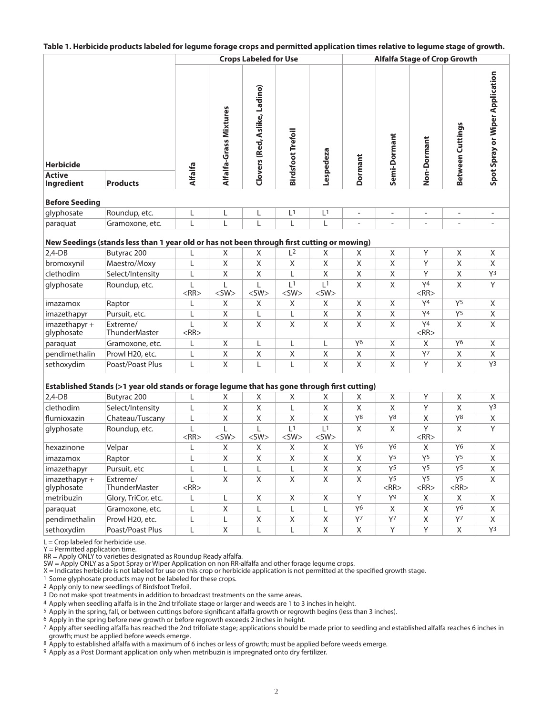#### **Table 1. Herbicide products labeled for legume forage crops and permitted application times relative to legume stage of growth.**

|                                          |                                                                                              | <b>Crops Labeled for Use</b> |                            |                               |                              | <b>Alfalfa Stage of Crop Growth</b> |                         |                         |                              |                          |                                 |  |  |  |  |
|------------------------------------------|----------------------------------------------------------------------------------------------|------------------------------|----------------------------|-------------------------------|------------------------------|-------------------------------------|-------------------------|-------------------------|------------------------------|--------------------------|---------------------------------|--|--|--|--|
| Herbicide<br><b>Active</b><br>Ingredient | <b>Products</b>                                                                              | <b>Alfalfa</b>               | Alfalfa-Grass Mixtures     | Clovers (Red, Aslike, Ladino) | <b>Birdsfoot Trefoil</b>     | Lespedeza                           | Dormant                 | Semi-Dormant            | Non-Dormant                  | Between Cuttings         | Spot Spray or Wiper Application |  |  |  |  |
|                                          |                                                                                              |                              |                            |                               |                              |                                     |                         |                         |                              |                          |                                 |  |  |  |  |
| <b>Before Seeding</b>                    | Roundup, etc.                                                                                |                              |                            | L                             | L <sup>1</sup>               | L <sup>1</sup>                      |                         |                         | $\overline{\phantom{a}}$     |                          |                                 |  |  |  |  |
| glyphosate<br>paraquat                   | Gramoxone, etc.                                                                              | L<br>L                       | L<br>L                     | L                             | L                            | L                                   | $\qquad \qquad -$       |                         |                              | $\overline{\phantom{a}}$ |                                 |  |  |  |  |
|                                          |                                                                                              |                              |                            |                               |                              |                                     |                         |                         |                              |                          |                                 |  |  |  |  |
|                                          | New Seedings (stands less than 1 year old or has not been through first cutting or mowing)   |                              |                            |                               |                              |                                     |                         |                         |                              |                          |                                 |  |  |  |  |
| $2,4-DB$                                 | Butyrac 200                                                                                  |                              | Χ                          | Χ                             | L <sup>2</sup>               | X                                   | Χ                       | Χ                       | Υ                            | X                        | Χ                               |  |  |  |  |
| bromoxynil                               | Maestro/Moxy                                                                                 | L                            | X                          | $\mathsf X$                   | X                            | X                                   | $\sf X$                 | X                       | Υ                            | $\mathsf X$              | X                               |  |  |  |  |
| clethodim                                | Select/Intensity                                                                             | L                            | X                          | $\sf X$                       | L                            | Χ                                   | $\mathsf X$             | X                       | Y                            | $\mathsf X$              | Y <sup>3</sup>                  |  |  |  |  |
| glyphosate                               | Roundup, etc.                                                                                | L<br>$<$ RR $>$              | $\mathbf{I}$<br>$<$ SW $>$ | $<$ SW $>$                    | L <sup>1</sup><br>$<$ SW $>$ | L <sup>1</sup><br>$<$ SW $>$        | $\overline{X}$          | $\mathsf X$             | Y <sup>4</sup><br>$<$ RR $>$ | $\overline{X}$           | Υ                               |  |  |  |  |
| imazamox                                 | Raptor                                                                                       | L                            | X                          | Χ                             | X                            | X                                   | X                       | $\mathsf X$             | Y <sup>4</sup>               | Y <sub>5</sub>           | X                               |  |  |  |  |
| imazethapyr                              | Pursuit, etc.                                                                                | L                            | Χ                          | L                             | Г                            | Χ                                   | $\mathsf X$             | $\mathsf X$             | Y <sup>4</sup>               | $Y^5$                    | X                               |  |  |  |  |
| imazethapyr +<br>glyphosate              | Extreme/<br><b>ThunderMaster</b>                                                             | L<br>$<$ RR $>$              | X                          | X                             | X                            | X                                   | X                       | X                       | Y <sup>4</sup><br>$<$ RR $>$ | $\sf X$                  | X                               |  |  |  |  |
| paraquat                                 | Gramoxone, etc.                                                                              | L                            | X                          | L                             | L                            | L                                   | Υ6                      | $\mathsf X$             | $\mathsf X$                  | Y6                       | X                               |  |  |  |  |
| pendimethalin                            | Prowl H20, etc.                                                                              | L                            | Χ                          | $\mathsf X$                   | Χ                            | Χ                                   | Χ                       | $\mathsf X$             | Y <sup>7</sup>               | $\mathsf X$              | $\mathsf X$                     |  |  |  |  |
| sethoxydim                               | Poast/Poast Plus                                                                             | L                            | $\overline{\mathsf{x}}$    | L                             | L                            | $\overline{X}$                      | $\overline{\mathsf{x}}$ | $\overline{X}$          | Y                            | $\overline{X}$           | $\overline{Y^3}$                |  |  |  |  |
|                                          | Established Stands (>1 year old stands or forage legume that has gone through first cutting) |                              |                            |                               |                              |                                     |                         |                         |                              |                          |                                 |  |  |  |  |
| $2,4$ -DB                                | Butyrac 200                                                                                  | L                            | Χ                          | X                             | Χ                            | X                                   | X                       | Χ                       | Υ                            | X                        | X                               |  |  |  |  |
| clethodim                                | Select/Intensity                                                                             | L                            | Χ                          | $\overline{\mathsf{X}}$       | L                            | Χ                                   | $\overline{X}$          | $\overline{\mathsf{X}}$ | $\overline{Y}$               | $\overline{X}$           | Y <sup>3</sup>                  |  |  |  |  |
| flumioxazin                              | Chateau/Tuscany                                                                              | L                            | Χ                          | $\mathsf X$                   | X                            | X                                   | $Y^8$                   | $Y^8$                   | X                            | $Y^8$                    | $\mathsf X$                     |  |  |  |  |
| glyphosate                               | Roundup, etc.                                                                                | L<br>$<$ RR $>$              | L<br>$<$ SW $>$            | L<br>$<$ SW $>$               | L <sup>1</sup><br>$<$ SW $>$ | L <sup>1</sup><br>$<$ SW $>$        | X                       | X                       | Y<br>$<$ RR $>$              | X                        | Y                               |  |  |  |  |
| hexazinone                               | Velpar                                                                                       | L                            | X                          | $\sf X$                       | Χ                            | Χ                                   | Υ6                      | Y <sub>6</sub>          | X                            | Y <sub>6</sub>           | Χ                               |  |  |  |  |
| imazamox                                 | Raptor                                                                                       | L                            | X                          | $\sf X$                       | х                            | X                                   | X                       | $Y^5$                   | $\overline{Y^5}$             | $Y^5$                    | Χ                               |  |  |  |  |
| imazethapyr                              | Pursuit, etc                                                                                 | L                            | L                          | $\mathsf{L}$                  | L                            | Χ                                   | $\mathsf X$             | $Y^5$                   | $Y^5$                        | $Y^5$                    | Χ                               |  |  |  |  |
| imazethapyr +<br>glyphosate              | Extreme/<br><b>ThunderMaster</b>                                                             | L<br>$<$ RR $>$              | X                          | X                             | X                            | X                                   | $\mathsf X$             | $Y^5$<br>$<$ RR $>$     | $Y^5$<br>$<$ RR $>$          | $Y^5$<br>$<$ RR $>$      | X                               |  |  |  |  |
| metribuzin                               | Glory, TriCor, etc.                                                                          | L                            | L                          | Χ                             | $\mathsf X$                  | X                                   | Y                       | Y <sup>9</sup>          | X                            | Χ                        | X                               |  |  |  |  |
| paraquat                                 | Gramoxone, etc.                                                                              | L                            | Χ                          | L                             | L                            | L                                   | Y6                      | X                       | X                            | $Y^6$                    | Χ                               |  |  |  |  |
| pendimethalin                            | Prowl H20, etc.                                                                              | L                            | L                          | Χ                             | $\mathsf X$                  | X                                   | Y <sup>7</sup>          | Y <sup>7</sup>          | X                            | Y <sup>7</sup>           | Χ                               |  |  |  |  |
| sethoxydim                               | Poast/Poast Plus                                                                             | Г                            | Χ                          | L                             | L                            | Χ                                   | Χ                       | Υ                       | Y                            | Χ                        | Y <sup>3</sup>                  |  |  |  |  |
| $L =$ Crop labeled for herbicide use.    |                                                                                              |                              |                            |                               |                              |                                     |                         |                         |                              |                          |                                 |  |  |  |  |

Y = Permitted application time.

RR = Apply ONLY to varieties designated as Roundup Ready alfalfa.

SW = Apply ONLY as a Spot Spray or Wiper Application on non RR-alfalfa and other forage legume crops.

X = Indicates herbicide is not labeled for use on this crop or herbicide application is not permitted at the specified growth stage.

<sup>1</sup> Some glyphosate products may not be labeled for these crops.

2 Apply only to new seedlings of Birdsfoot Trefoil.

<sup>3</sup> Do not make spot treatments in addition to broadcast treatments on the same areas.

4 Apply when seedling alfalfa is in the 2nd trifoliate stage or larger and weeds are 1 to 3 inches in height.

5 Apply in the spring, fall, or between cuttings before significant alfalfa growth or regrowth begins (less than 3 inches).

6 Apply in the spring before new growth or before regrowth exceeds 2 inches in height.

7 Apply after seedling alfalfa has reached the 2nd trifoliate stage; applications should be made prior to seedling and established alfalfa reaches 6 inches in growth; must be applied before weeds emerge.

8 Apply to established alfalfa with a maximum of 6 inches or less of growth; must be applied before weeds emerge.

9 Apply as a Post Dormant application only when metribuzin is impregnated onto dry fertilizer.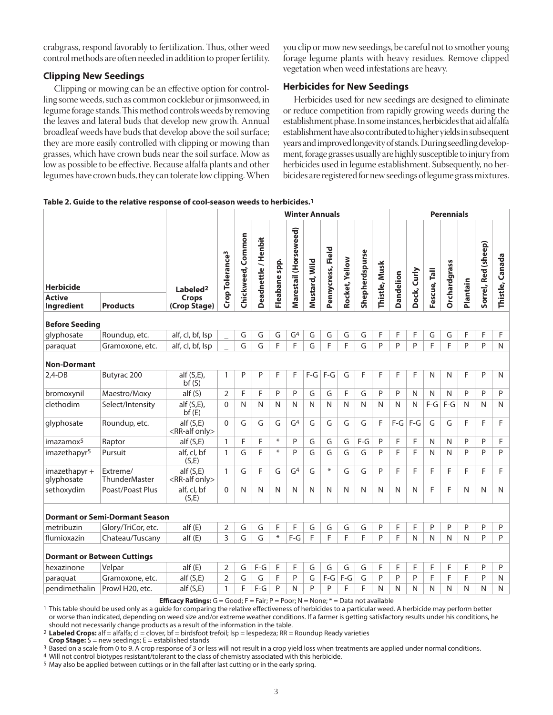crabgrass, respond favorably to fertilization. Thus, other weed control methods are often needed in addition to proper fertility.

#### **Clipping New Seedings**

Clipping or mowing can be an effective option for controlling some weeds, such as common cocklebur or jimsonweed, in legume forage stands. This method controls weeds by removing the leaves and lateral buds that develop new growth. Annual broadleaf weeds have buds that develop above the soil surface; they are more easily controlled with clipping or mowing than grasses, which have crown buds near the soil surface. Mow as low as possible to be effective. Because alfalfa plants and other legumes have crown buds, they can tolerate low clipping. When

you clip or mow new seedings, be careful not to smother young forage legume plants with heavy residues. Remove clipped vegetation when weed infestations are heavy.

#### **Herbicides for New Seedings**

Herbicides used for new seedings are designed to eliminate or reduce competition from rapidly growing weeds during the establishment phase. In some instances, herbicides that aid alfalfa establishment have also contributed to higher yields in subsequent years and improved longevity of stands. During seedling development, forage grasses usually are highly susceptible to injury from herbicides used in legume establishment. Subsequently, no herbicides are registered for new seedings of legume grass mixtures.

#### **Table 2. Guide to the relative response of cool-season weeds to herbicides.1**

|                                                 |                                  |                                                      | <b>Winter Annuals</b>       |                   |                   |               |                       |                |                   |                |                | <b>Perennials</b> |              |             |              |                     |          |                     |                 |
|-------------------------------------------------|----------------------------------|------------------------------------------------------|-----------------------------|-------------------|-------------------|---------------|-----------------------|----------------|-------------------|----------------|----------------|-------------------|--------------|-------------|--------------|---------------------|----------|---------------------|-----------------|
| <b>Herbicide</b><br><b>Active</b><br>Ingredient | <b>Products</b>                  | Labeled <sup>2</sup><br><b>Crops</b><br>(Crop Stage) | Crop Tolerance <sup>3</sup> | Chickweed, Common | Deadnettle/Henbit | Fleabane spp. | Marestail (Horseweed) | Mustard, Wild  | Pennycress, Field | Rocket, Yellow | Shepherdspurse | Thistle, Musk     | Dandelion    | Dock, Curly | Fescue, Tall | <b>Orchardgrass</b> | Plantain | Sorrel, Red (sheep) | Thistle, Canada |
| <b>Before Seeding</b>                           |                                  |                                                      |                             |                   |                   |               |                       |                |                   |                |                |                   |              |             |              |                     |          |                     |                 |
| glyphosate                                      | Roundup, etc.                    | alf, cl, bf, lsp                                     |                             | G                 | G                 | G             | G <sup>4</sup>        | G              | G                 | G              | G              | F                 | F            | F           | G            | G                   | F        | $\mathsf F$         | F               |
| paraquat                                        | Gramoxone, etc.                  | alf, cl, bf, lsp                                     |                             | G                 | G                 | F             | F                     | G              | F                 | F              | G              | P                 | P            | P           | F            | F                   | P        | P                   | $\mathsf{N}$    |
| <b>Non-Dormant</b>                              |                                  |                                                      |                             |                   |                   |               |                       |                |                   |                |                |                   |              |             |              |                     |          |                     |                 |
| $2,4-DB$                                        | Butyrac 200                      | $alf(S,E)$ ,<br>bf(5)                                | 1                           | P                 | P                 | F             | F                     | $F-G$          | $F-G$             | G              | F              | F                 | F            | F           | N            | N                   | F        | P                   | $\mathsf{N}$    |
| bromoxynil                                      | Maestro/Moxy                     | alf(S)                                               | $\overline{2}$              | F                 | F                 | P             | P                     | G              | G                 | F              | G              | P                 | P            | N           | N            | N                   | P        | P                   | P               |
| clethodim                                       | Select/Intensity                 | $alf(S,E)$ ,<br>bf(E)                                | $\mathbf{0}$                | $\mathsf{N}$      | N                 | N             | N                     | N              | $\mathsf{N}$      | $\mathsf{N}$   | N              | N                 | $\mathsf{N}$ | N           | $F-G$        | $F-G$               | N        | N                   | N               |
| glyphosate                                      | Roundup, etc.                    | alf(S,E)<br><rr-alf only=""></rr-alf>                | $\Omega$                    | G                 | G                 | G             | G <sup>4</sup>        | G              | G                 | G              | G              | F                 | $F-G$        | $F-G$       | G            | G                   | F        | F                   | F               |
| imazamox <sup>5</sup>                           | Raptor                           | alf(S,E)                                             | 1                           | F                 | F                 | $\ast$        | P                     | G              | $\overline{G}$    | G              | $F-G$          | P                 | F            | $\mathsf F$ | N            | N                   | P        | P                   | F               |
| imazethapyr <sup>5</sup>                        | Pursuit                          | alf, cl, bf<br>(S,E)                                 | 1                           | G                 | F                 | $\ast$        | P                     | G              | G                 | G              | G              | P                 | F            | F           | N            | N                   | P        | P                   | P               |
| imazethapyr +<br>glyphosate                     | Extreme/<br><b>ThunderMaster</b> | alf(S,E)<br><rr-alf only=""></rr-alf>                | 1                           | G                 | F                 | G             | G <sup>4</sup>        | G              | $\ast$            | G              | G              | P                 | F            | F           | F            | F                   | F        | F                   | F               |
| sethoxydim                                      | Poast/Poast Plus                 | alf, cl, bf<br>(S,E)                                 | 0                           | N                 | N                 | $\mathsf{N}$  | N                     | N              | N                 | N              | N              | N                 | N            | N           | F            | F                   | N        | N                   | $\mathsf{N}$    |
| <b>Dormant or Semi-Dormant Season</b>           |                                  |                                                      |                             |                   |                   |               |                       |                |                   |                |                |                   |              |             |              |                     |          |                     |                 |
| metribuzin                                      | Glory/TriCor, etc.               | alf(E)                                               | 2                           | G                 | G                 | F             | F                     | G              | G                 | G              | G              | P                 | F            | F           | P            | P                   | P        | P                   | P               |
| flumioxazin                                     | Chateau/Tuscany                  | alf(E)                                               | 3                           | G                 | G                 | ₩             | $F-G$                 | F              | F                 | F              | F              | P                 | F            | N           | N            | N                   | N        | P                   | P               |
| <b>Dormant or Between Cuttings</b>              |                                  |                                                      |                             |                   |                   |               |                       |                |                   |                |                |                   |              |             |              |                     |          |                     |                 |
| hexazinone                                      | Velpar                           | alf(E)                                               | 2                           | G                 | $F-G$             | F             | F                     | G              | G                 | G              | G              | F                 | F            | F           | F            | F                   | F        | P                   | P               |
| paraquat                                        | Gramoxone, etc.                  | alf(S,E)                                             | $\overline{2}$              | $\overline{G}$    | G                 | F             | P                     | $\overline{G}$ | $F-G$             | $F-G$          | $\overline{G}$ | P                 | P            | P           | F            | F                   | F        | P                   | $\mathsf{N}$    |
| pendimethalin                                   | Prowl H20, etc.                  | alf(S,E)                                             | 1                           | F                 | $F-G$             | P             | N                     | P              | P                 | F              | F              | $\mathsf{N}$      | N            | N           | N            | N                   | N        | N                   | N               |

**Efficacy Ratings:**  $G = Good$ ;  $F = Fair$ ;  $P = Poor$ ;  $N = None$ ;  $* = Data not available$ 

1 This table should be used only as a guide for comparing the relative effectiveness of herbicides to a particular weed. A herbicide may perform better or worse than indicated, depending on weed size and/or extreme weather conditions. If a farmer is getting satisfactory results under his conditions, he should not necessarily change products as a result of the information in the table.

2 **Labeled Crops:** alf = alfalfa; cl = clover, bf = birdsfoot trefoil; lsp = lespedeza; RR = Roundup Ready varieties

**Crop Stage:** S = new seedings; E = established stands

<sup>3</sup> Based on a scale from 0 to 9. A crop response of 3 or less will not result in a crop yield loss when treatments are applied under normal conditions.

4 Will not control biotypes resistant/tolerant to the class of chemistry associated with this herbicide.

5 May also be applied between cuttings or in the fall after last cutting or in the early spring.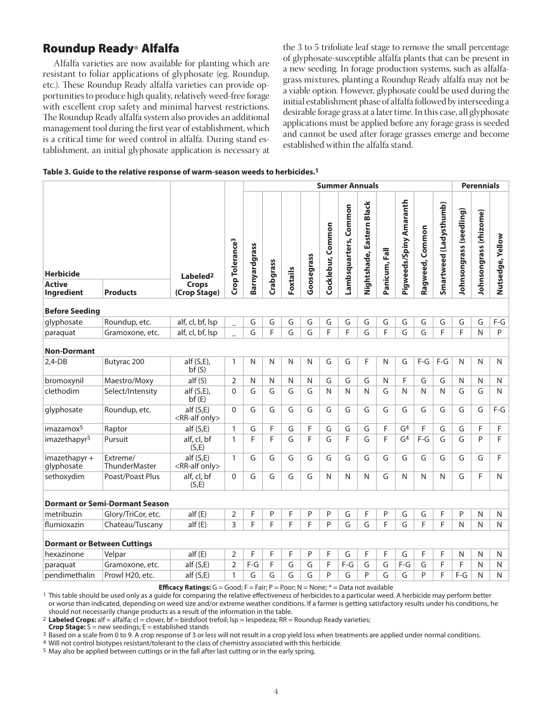# Roundup Ready® Alfalfa

Alfalfa varieties are now available for planting which are resistant to foliar applications of glyphosate (eg. Roundup, etc.). These Roundup Ready alfalfa varieties can provide opportunities to produce high quality, relatively weed-free forage with excellent crop safety and minimal harvest restrictions. The Roundup Ready alfalfa system also provides an additional management tool during the first year of establishment, which is a critical time for weed control in alfalfa. During stand establishment, an initial glyphosate application is necessary at the 3 to 5 trifoliate leaf stage to remove the small percentage of glyphosate-susceptible alfalfa plants that can be present in a new seeding. In forage production systems, such as alfalfagrass mixtures, planting a Roundup Ready alfalfa may not be a viable option. However, glyphosate could be used during the initial establishment phase of alfalfa followed by interseeding a desirable forage grass at a later time. In this case, all glyphosate applications must be applied before any forage grass is seeded and cannot be used after forage grasses emerge and become established within the alfalfa stand.

#### **Table 3. Guide to the relative response of warm-season weeds to herbicides.1**

|                                                                    |                                  |                                                      |                             | <b>Summer Annuals</b> |           |              |            |                   |                         |                           |               |                         | <b>Perennials</b> |                        |                         |                         |                  |
|--------------------------------------------------------------------|----------------------------------|------------------------------------------------------|-----------------------------|-----------------------|-----------|--------------|------------|-------------------|-------------------------|---------------------------|---------------|-------------------------|-------------------|------------------------|-------------------------|-------------------------|------------------|
| <b>Herbicide</b><br><b>Active</b><br>Ingredient<br><b>Products</b> |                                  | Labeled <sup>2</sup><br><b>Crops</b><br>(Crop Stage) | Crop Tolerance <sup>3</sup> | Barnyardgrass         | Crabgrass | Foxtails     | Goosegrass | Cocklebur, Common | Lambsquarters, Common   | Nightshade, Eastern Black | Panicum, Fall | Pigweeds/Spiny Amaranth | Ragweed, Common   | Smartweed (Ladysthumb) | Johnsongrass (seedling) | Johnsongrass (rhizome)  | Nutsedge, Yellow |
| <b>Before Seeding</b>                                              |                                  |                                                      |                             |                       |           |              |            |                   |                         |                           |               |                         |                   |                        |                         |                         |                  |
| glyphosate                                                         | Roundup, etc.                    | alf, cl, bf, lsp                                     | $\overline{a}$              | G                     | G         | G            | G          | G                 | G                       | G                         | G             | G                       | G                 | G                      | G                       | G                       | $F-G$            |
| paraquat                                                           | Gramoxone, etc.                  | alf, cl, bf, lsp                                     |                             | G                     | F         | G            | G          | F                 | F                       | G                         | F             | G                       | G                 | F                      | F                       | N                       | P                |
| <b>Non-Dormant</b>                                                 |                                  |                                                      |                             |                       |           |              |            |                   |                         |                           |               |                         |                   |                        |                         |                         |                  |
| $2,4-DB$                                                           | Butyrac 200                      | $alf(S,E)$ ,<br>bf(5)                                | $\mathbf{1}$                | N                     | N         | N            | N          | G                 | G                       | F                         | N             | G                       | $F-G$             | $F-G$                  | N                       | N                       | N                |
| bromoxynil                                                         | Maestro/Moxy                     | alf(S)                                               | $\overline{2}$              | N                     | N         | $\mathsf{N}$ | N          | G                 | G                       | G                         | $\mathsf{N}$  | F                       | G                 | G                      | $\mathsf{N}$            | N                       | $\mathsf{N}$     |
| clethodim                                                          | Select/Intensity                 | $alf(S,E)$ ,<br>bf(E)                                | 0                           | G                     | G         | G            | G          | $\mathsf{N}$      | N                       | N                         | G             | N                       | N                 | N                      | G                       | $\overline{\mathsf{G}}$ | N                |
| glyphosate                                                         | Roundup, etc.                    | alf(S,E)<br><rr-alf only=""></rr-alf>                | $\Omega$                    | G                     | G         | G            | G          | G                 | G                       | G                         | G             | G                       | G                 | G                      | G                       | G                       | $F-G$            |
| imazamox <sup>5</sup>                                              | Raptor                           | alf(S,E)                                             | $\mathbf{1}$                | G                     | F         | G            | F          | G                 | G                       | G                         | F             | G <sup>4</sup>          | F                 | G                      | G                       | F                       | F                |
| imazethapyr <sup>5</sup>                                           | Pursuit                          | alf, cl, bf<br>(S,E)                                 | $\mathbf{1}$                | F                     | F         | G            | F          | G                 | F                       | G                         | F             | G <sup>4</sup>          | $F-G$             | G                      | G                       | P                       | F                |
| imazethapyr +<br>glyphosate                                        | Extreme/<br><b>ThunderMaster</b> | alf(S,E)<br><rr-alf only=""></rr-alf>                | $\mathbf{1}$                | G                     | G         | G            | G          | G                 | G                       | G                         | G             | G                       | G                 | G                      | G                       | G                       | F                |
| sethoxydim                                                         | Poast/Poast Plus                 | alf, cl, bf<br>(S,E)                                 | 0                           | G                     | G         | G            | G          | N                 | N                       | N                         | G             | N                       | N                 | N                      | G                       | F                       | $\mathsf{N}$     |
| <b>Dormant or Semi-Dormant Season</b>                              |                                  |                                                      |                             |                       |           |              |            |                   |                         |                           |               |                         |                   |                        |                         |                         |                  |
| metribuzin                                                         | Glory/TriCor, etc.               | alf(E)                                               | $\overline{2}$              | F                     | P         | F            | P          | P                 | G                       | F                         | P             | G                       | G                 | F                      | P                       | N                       | N                |
| flumioxazin                                                        | Chateau/Tuscany                  | alf(E)                                               | 3                           | F                     | F         | F            | F          | P                 | $\overline{\mathsf{G}}$ | G                         | F             | G                       | F                 | F                      | $\mathsf{N}$            | N                       | $\mathsf{N}$     |
| <b>Dormant or Between Cuttings</b>                                 |                                  |                                                      |                             |                       |           |              |            |                   |                         |                           |               |                         |                   |                        |                         |                         |                  |
| hexazinone                                                         | Velpar                           | alf(E)                                               | $\overline{2}$              | F                     | F         | F            | P          | F                 | G                       | F                         | F             | G                       | F                 | F                      | N                       | N                       | N                |
| paraquat                                                           | Gramoxone, etc.                  | alf(S,E)                                             | $\overline{2}$              | $F-G$                 | F         | G            | G          | F                 | $F-G$                   | G                         | G             | $F-G$                   | G                 | F                      | F                       | N                       | N                |
| pendimethalin                                                      | Prowl H20, etc.                  | alf(S,E)                                             | $\mathbf{1}$                | G                     | G         | G            | G          | P                 | G                       | Þ                         | G             | G                       | P                 | F                      | $F-G$                   | N                       | N                |

**Efficacy Ratings:**  $G = Good$ ;  $F = Fair$ ;  $P = Poor$ ;  $N = None$ ;  $* = Data not available$ 

1 This table should be used only as a guide for comparing the relative effectiveness of herbicides to a particular weed. A herbicide may perform better or worse than indicated, depending on weed size and/or extreme weather conditions. If a farmer is getting satisfactory results under his conditions, he should not necessarily change products as a result of the information in the table.

<sup>2</sup> Labeled Crops: alf = alfalfa; cl = clover, bf = birdsfoot trefoil; lsp = lespedeza; RR = Roundup Ready varieties;

**Crop Stage:** S = new seedings; E = established stands

3 Based on a scale from 0 to 9. A crop response of 3 or less will not result in a crop yield loss when treatments are applied under normal conditions.

4 Will not control biotypes resistant/tolerant to the class of chemistry associated with this herbicide.

5 May also be applied between cuttings or in the fall after last cutting or in the early spring.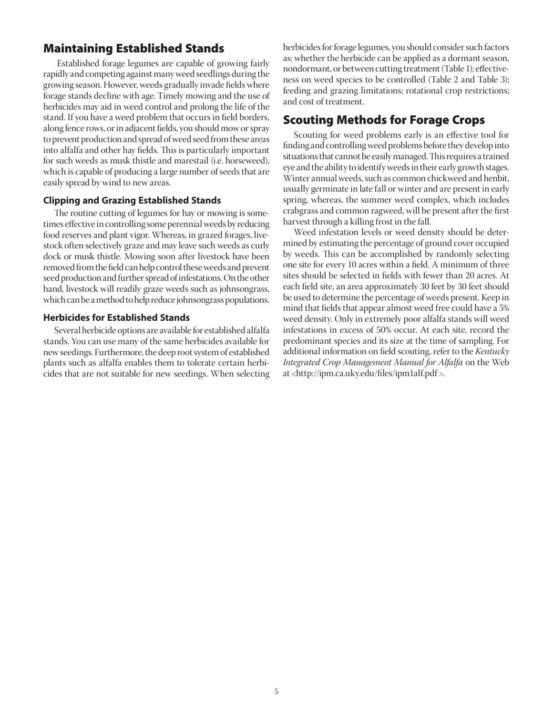# Maintaining Established Stands

 Established forage legumes are capable of growing fairly rapidly and competing against many weed seedlings during the growing season. However, weeds gradually invade fields where forage stands decline with age. Timely mowing and the use of herbicides may aid in weed control and prolong the life of the stand. If you have a weed problem that occurs in field borders, along fence rows, or in adjacent fields, you should mow or spray to prevent production and spread of weed seed from these areas into alfalfa and other hay fields. This is particularly important for such weeds as musk thistle and marestail (i.e. horseweed), which is capable of producing a large number of seeds that are easily spread by wind to new areas.

#### **Clipping and Grazing Established Stands**

The routine cutting of legumes for hay or mowing is sometimes effective in controlling some perennial weeds by reducing food reserves and plant vigor. Whereas, in grazed forages, livestock often selectively graze and may leave such weeds as curly dock or musk thistle. Mowing soon after livestock have been removed from the field can help control these weeds and prevent seed production and further spread of infestations. On the other hand, livestock will readily graze weeds such as johnsongrass, which can be a method to help reduce johnsongrass populations.

# **Herbicides for Established Stands**

Several herbicide options are available for established alfalfa stands. You can use many of the same herbicides available for new seedings. Furthermore, the deep root system of established plants such as alfalfa enables them to tolerate certain herbicides that are not suitable for new seedings. When selecting herbicides for forage legumes, you should consider such factors as: whether the herbicide can be applied as a dormant season, nondormant, or between cutting treatment (Table 1); effectiveness on weed species to be controlled (Table 2 and Table 3); feeding and grazing limitations; rotational crop restrictions; and cost of treatment.

# Scouting Methods for Forage Crops

Scouting for weed problems early is an effective tool for finding and controlling weed problems before they develop into situations that cannot be easily managed. This requires a trained eye and the ability to identify weeds in their early growth stages. Winter annual weeds, such as common chickweed and henbit, usually germinate in late fall or winter and are present in early spring, whereas, the summer weed complex, which includes crabgrass and common ragweed, will be present after the first harvest through a killing frost in the fall.

Weed infestation levels or weed density should be determined by estimating the percentage of ground cover occupied by weeds. This can be accomplished by randomly selecting one site for every 10 acres within a field. A minimum of three sites should be selected in fields with fewer than 20 acres. At each field site, an area approximately 30 feet by 30 feet should be used to determine the percentage of weeds present. Keep in mind that fields that appear almost weed free could have a 5% weed density. Only in extremely poor alfalfa stands will weed infestations in excess of 50% occur. At each site, record the predominant species and its size at the time of sampling. For additional information on field scouting, refer to the *Kentucky Integrated Crop Management Manual for Alfalfa* on the Web at <http://ipm.ca.uky.edu/files/ipm1alf.pdf >.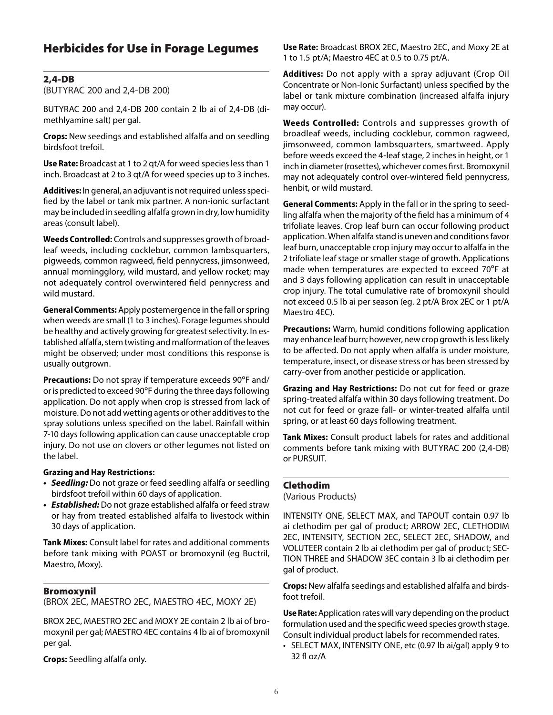# Herbicides for Use in Forage Legumes

# 2,4-DB

(BUTYRAC 200 and 2,4-DB 200)

BUTYRAC 200 and 2,4-DB 200 contain 2 lb ai of 2,4-DB (dimethlyamine salt) per gal.

**Crops:** New seedings and established alfalfa and on seedling birdsfoot trefoil.

**Use Rate:** Broadcast at 1 to 2 qt/A for weed species less than 1 inch. Broadcast at 2 to 3 qt/A for weed species up to 3 inches.

**Additives:** In general, an adjuvant is not required unless specified by the label or tank mix partner. A non-ionic surfactant may be included in seedling alfalfa grown in dry, low humidity areas (consult label).

**Weeds Controlled:** Controls and suppresses growth of broadleaf weeds, including cocklebur, common lambsquarters, pigweeds, common ragweed, field pennycress, jimsonweed, annual morningglory, wild mustard, and yellow rocket; may not adequately control overwintered field pennycress and wild mustard.

**General Comments:** Apply postemergence in the fall or spring when weeds are small (1 to 3 inches). Forage legumes should be healthy and actively growing for greatest selectivity. In established alfalfa, stem twisting and malformation of the leaves might be observed; under most conditions this response is usually outgrown.

**Precautions:** Do not spray if temperature exceeds 90°F and/ or is predicted to exceed 90°F during the three days following application. Do not apply when crop is stressed from lack of moisture. Do not add wetting agents or other additives to the spray solutions unless specified on the label. Rainfall within 7-10 days following application can cause unacceptable crop injury. Do not use on clovers or other legumes not listed on the label.

#### **Grazing and Hay Restrictions:**

- *• Seedling:* Do not graze or feed seedling alfalfa or seedling birdsfoot trefoil within 60 days of application.
- *• Established:* Do not graze established alfalfa or feed straw or hay from treated established alfalfa to livestock within 30 days of application.

**Tank Mixes:** Consult label for rates and additional comments before tank mixing with POAST or bromoxynil (eg Buctril, Maestro, Moxy).

# Bromoxynil

(BROX 2EC, MAESTRO 2EC, MAESTRO 4EC, MOXY 2E)

BROX 2EC, MAESTRO 2EC and MOXY 2E contain 2 lb ai of bromoxynil per gal; MAESTRO 4EC contains 4 lb ai of bromoxynil per gal.

**Crops:** Seedling alfalfa only.

**Use Rate:** Broadcast BROX 2EC, Maestro 2EC, and Moxy 2E at 1 to 1.5 pt/A; Maestro 4EC at 0.5 to 0.75 pt/A.

**Additives:** Do not apply with a spray adjuvant (Crop Oil Concentrate or Non-Ionic Surfactant) unless specified by the label or tank mixture combination (increased alfalfa injury may occur).

**Weeds Controlled:** Controls and suppresses growth of broadleaf weeds, including cocklebur, common ragweed, jimsonweed, common lambsquarters, smartweed. Apply before weeds exceed the 4-leaf stage, 2 inches in height, or 1 inch in diameter (rosettes), whichever comes first. Bromoxynil may not adequately control over-wintered field pennycress, henbit, or wild mustard.

**General Comments:** Apply in the fall or in the spring to seedling alfalfa when the majority of the field has a minimum of 4 trifoliate leaves. Crop leaf burn can occur following product application. When alfalfa stand is uneven and conditions favor leaf burn, unacceptable crop injury may occur to alfalfa in the 2 trifoliate leaf stage or smaller stage of growth. Applications made when temperatures are expected to exceed 70°F at and 3 days following application can result in unacceptable crop injury. The total cumulative rate of bromoxynil should not exceed 0.5 lb ai per season (eg. 2 pt/A Brox 2EC or 1 pt/A Maestro 4EC).

**Precautions:** Warm, humid conditions following application may enhance leaf burn; however, new crop growth is less likely to be affected. Do not apply when alfalfa is under moisture, temperature, insect, or disease stress or has been stressed by carry-over from another pesticide or application.

**Grazing and Hay Restrictions:** Do not cut for feed or graze spring-treated alfalfa within 30 days following treatment. Do not cut for feed or graze fall- or winter-treated alfalfa until spring, or at least 60 days following treatment.

**Tank Mixes:** Consult product labels for rates and additional comments before tank mixing with BUTYRAC 200 (2,4-DB) or PURSUIT.

# Clethodim

(Various Products)

INTENSITY ONE, SELECT MAX, and TAPOUT contain 0.97 lb ai clethodim per gal of product; ARROW 2EC, CLETHODIM 2EC, INTENSITY, SECTION 2EC, SELECT 2EC, SHADOW, and VOLUTEER contain 2 lb ai clethodim per gal of product; SEC-TION THREE and SHADOW 3EC contain 3 lb ai clethodim per gal of product.

**Crops:** New alfalfa seedings and established alfalfa and birdsfoot trefoil.

**Use Rate:** Application rates will vary depending on the product formulation used and the specific weed species growth stage. Consult individual product labels for recommended rates.

• SELECT MAX, INTENSITY ONE, etc (0.97 lb ai/gal) apply 9 to 32 fl oz/A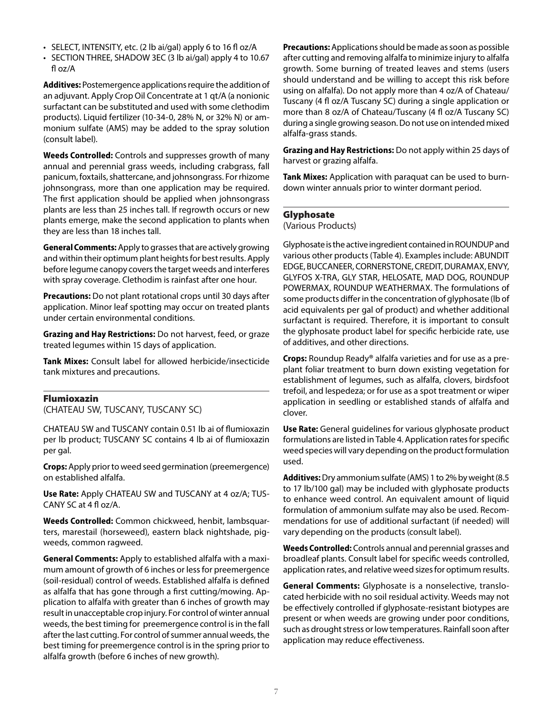- SELECT, INTENSITY, etc. (2 lb ai/gal) apply 6 to 16 fl oz/A
- SECTION THREE, SHADOW 3EC (3 lb ai/gal) apply 4 to 10.67 fl oz/A

**Additives:** Postemergence applications require the addition of an adjuvant. Apply Crop Oil Concentrate at 1 qt/A (a nonionic surfactant can be substituted and used with some clethodim products). Liquid fertilizer (10-34-0, 28% N, or 32% N) or ammonium sulfate (AMS) may be added to the spray solution (consult label).

**Weeds Controlled:** Controls and suppresses growth of many annual and perennial grass weeds, including crabgrass, fall panicum, foxtails, shattercane, and johnsongrass. For rhizome johnsongrass, more than one application may be required. The first application should be applied when johnsongrass plants are less than 25 inches tall. If regrowth occurs or new plants emerge, make the second application to plants when they are less than 18 inches tall.

**General Comments:** Apply to grasses that are actively growing and within their optimum plant heights for best results. Apply before legume canopy covers the target weeds and interferes with spray coverage. Clethodim is rainfast after one hour.

**Precautions:** Do not plant rotational crops until 30 days after application. Minor leaf spotting may occur on treated plants under certain environmental conditions.

**Grazing and Hay Restrictions:** Do not harvest, feed, or graze treated legumes within 15 days of application.

**Tank Mixes:** Consult label for allowed herbicide/insecticide tank mixtures and precautions.

# Flumioxazin (CHATEAU SW, TUSCANY, TUSCANY SC)

CHATEAU SW and TUSCANY contain 0.51 lb ai of flumioxazin per lb product; TUSCANY SC contains 4 lb ai of flumioxazin per gal.

**Crops:** Apply prior to weed seed germination (preemergence) on established alfalfa.

**Use Rate:** Apply CHATEAU SW and TUSCANY at 4 oz/A; TUS-CANY SC at 4 fl oz/A.

**Weeds Controlled:** Common chickweed, henbit, lambsquarters, marestail (horseweed), eastern black nightshade, pigweeds, common ragweed.

**General Comments:** Apply to established alfalfa with a maximum amount of growth of 6 inches or less for preemergence (soil-residual) control of weeds. Established alfalfa is defined as alfalfa that has gone through a first cutting/mowing. Application to alfalfa with greater than 6 inches of growth may result in unacceptable crop injury. For control of winter annual weeds, the best timing for preemergence control is in the fall after the last cutting. For control of summer annual weeds, the best timing for preemergence control is in the spring prior to alfalfa growth (before 6 inches of new growth).

**Precautions:** Applications should be made as soon as possible after cutting and removing alfalfa to minimize injury to alfalfa growth. Some burning of treated leaves and stems (users should understand and be willing to accept this risk before using on alfalfa). Do not apply more than 4 oz/A of Chateau/ Tuscany (4 fl oz/A Tuscany SC) during a single application or more than 8 oz/A of Chateau/Tuscany (4 fl oz/A Tuscany SC) during a single growing season. Do not use on intended mixed alfalfa-grass stands.

**Grazing and Hay Restrictions:** Do not apply within 25 days of harvest or grazing alfalfa.

**Tank Mixes:** Application with paraquat can be used to burndown winter annuals prior to winter dormant period.

# **Glyphosate**

(Various Products)

Glyphosate is the active ingredient contained in ROUNDUP and various other products (Table 4). Examples include: ABUNDIT EDGE, BUCCANEER, CORNERSTONE, CREDIT, DURAMAX, ENVY, GLYFOS X-TRA, GLY STAR, HELOSATE, MAD DOG, ROUNDUP POWERMAX, ROUNDUP WEATHERMAX. The formulations of some products differ in the concentration of glyphosate (lb of acid equivalents per gal of product) and whether additional surfactant is required. Therefore, it is important to consult the glyphosate product label for specific herbicide rate, use of additives, and other directions.

**Crops:** Roundup Ready® alfalfa varieties and for use as a preplant foliar treatment to burn down existing vegetation for establishment of legumes, such as alfalfa, clovers, birdsfoot trefoil, and lespedeza; or for use as a spot treatment or wiper application in seedling or established stands of alfalfa and clover.

**Use Rate:** General guidelines for various glyphosate product formulations are listed in Table 4. Application rates for specific weed species will vary depending on the product formulation used.

**Additives:** Dry ammonium sulfate (AMS) 1 to 2% by weight (8.5 to 17 lb/100 gal) may be included with glyphosate products to enhance weed control. An equivalent amount of liquid formulation of ammonium sulfate may also be used. Recommendations for use of additional surfactant (if needed) will vary depending on the products (consult label).

**Weeds Controlled:** Controls annual and perennial grasses and broadleaf plants. Consult label for specific weeds controlled, application rates, and relative weed sizes for optimum results.

**General Comments:** Glyphosate is a nonselective, translocated herbicide with no soil residual activity. Weeds may not be effectively controlled if glyphosate-resistant biotypes are present or when weeds are growing under poor conditions, such as drought stress or low temperatures. Rainfall soon after application may reduce effectiveness.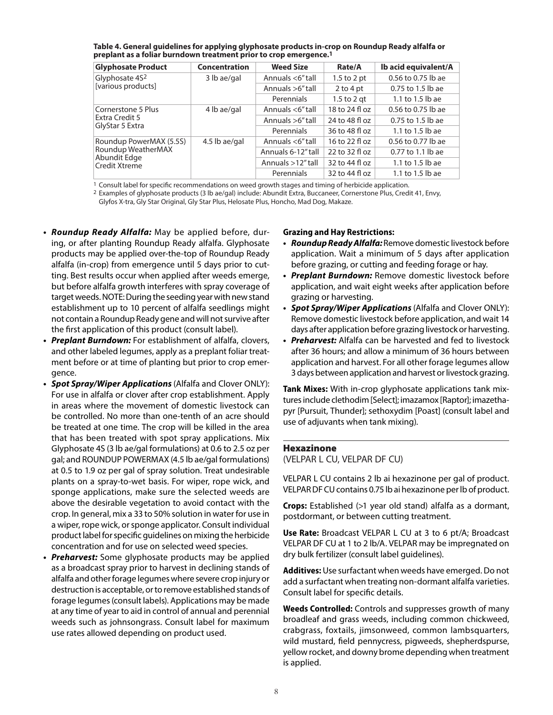**Table 4. General guidelines for applying glyphosate products in-crop on Roundup Ready alfalfa or preplant as a foliar burndown treatment prior to crop emergence.1**

| <b>Glyphosate Product</b>     | <b>Concentration</b> | <b>Weed Size</b>    | Rate/A         | Ib acid equivalent/A         |  |  |
|-------------------------------|----------------------|---------------------|----------------|------------------------------|--|--|
| Glyphosate 4S <sup>2</sup>    | 3 lb ae/gal          | Annuals $<$ 6" tall | $1.5$ to 2 pt  | 0.56 to 0.75 lb ae           |  |  |
| [various products]            |                      | Annuals >6" tall    | $2$ to 4 pt    | 0.75 to 1.5 lb ae            |  |  |
|                               |                      | Perennials          | $1.5$ to 2 gt  | 1.1 to 1.5 $\mathsf{lb}\$ ae |  |  |
| Cornerstone 5 Plus            | 4 lb ae/gal          | Annuals <6" tall    | 18 to 24 fl oz | 0.56 to 0.75 lb ae           |  |  |
| Extra Credit 5                |                      | Annuals >6" tall    | 24 to 48 fl oz | 0.75 to 1.5 lb ae            |  |  |
| GlyStar 5 Extra               |                      | Perennials          | 36 to 48 fl oz | 1.1 to 1.5 lb ae             |  |  |
| Roundup PowerMAX (5.5S)       | 4.5 lb ae/gal        | Annuals <6" tall    | 16 to 22 fl oz | 0.56 to 0.77 lb ae           |  |  |
| Roundup WeatherMAX            |                      | Annuals 6-12" tall  | 22 to 32 fl oz | 0.77 to 1.1 lb ae            |  |  |
| Abundit Edge<br>Credit Xtreme |                      | Annuals >12" tall   | 32 to 44 fl oz | 1.1 to 1.5 lb ae             |  |  |
|                               |                      | Perennials          | 32 to 44 fl oz | 1.1 to 1.5 lb ae             |  |  |

1 Consult label for specific recommendations on weed growth stages and timing of herbicide application.

2 Examples of glyphosate products (3 lb ae/gal) include: Abundit Extra, Buccaneer, Cornerstone Plus, Credit 41, Envy, Glyfos X-tra, Gly Star Original, Gly Star Plus, Helosate Plus, Honcho, Mad Dog, Makaze.

- *• Roundup Ready Alfalfa:* May be applied before, during, or after planting Roundup Ready alfalfa. Glyphosate products may be applied over-the-top of Roundup Ready alfalfa (in-crop) from emergence until 5 days prior to cutting. Best results occur when applied after weeds emerge, but before alfalfa growth interferes with spray coverage of target weeds. NOTE: During the seeding year with new stand establishment up to 10 percent of alfalfa seedlings might not contain a Roundup Ready gene and will not survive after the first application of this product (consult label).
- *Preplant Burndown:* For establishment of alfalfa, clovers, and other labeled legumes, apply as a preplant foliar treatment before or at time of planting but prior to crop emergence.
- *• Spot Spray/Wiper Applications* (Alfalfa and Clover ONLY): For use in alfalfa or clover after crop establishment. Apply in areas where the movement of domestic livestock can be controlled. No more than one-tenth of an acre should be treated at one time. The crop will be killed in the area that has been treated with spot spray applications. Mix Glyphosate 4S (3 lb ae/gal formulations) at 0.6 to 2.5 oz per gal; and ROUNDUP POWERMAX (4.5 lb ae/gal formulations) at 0.5 to 1.9 oz per gal of spray solution. Treat undesirable plants on a spray-to-wet basis. For wiper, rope wick, and sponge applications, make sure the selected weeds are above the desirable vegetation to avoid contact with the crop. In general, mix a 33 to 50% solution in water for use in a wiper, rope wick, or sponge applicator. Consult individual product label for specific guidelines on mixing the herbicide concentration and for use on selected weed species.
- *Preharvest:* Some glyphosate products may be applied as a broadcast spray prior to harvest in declining stands of alfalfa and other forage legumes where severe crop injury or destruction is acceptable, or to remove established stands of forage legumes (consult labels). Applications may be made at any time of year to aid in control of annual and perennial weeds such as johnsongrass. Consult label for maximum use rates allowed depending on product used.

#### **Grazing and Hay Restrictions:**

- *• Roundup Ready Alfalfa:* Remove domestic livestock before application. Wait a minimum of 5 days after application before grazing, or cutting and feeding forage or hay.
- *• Preplant Burndown:* Remove domestic livestock before application, and wait eight weeks after application before grazing or harvesting.
- *• Spot Spray/Wiper Applications* (Alfalfa and Clover ONLY): Remove domestic livestock before application, and wait 14 days after application before grazing livestock or harvesting.
- *• Preharvest:* Alfalfa can be harvested and fed to livestock after 36 hours; and allow a minimum of 36 hours between application and harvest. For all other forage legumes allow 3 days between application and harvest or livestock grazing.

**Tank Mixes:** With in-crop glyphosate applications tank mixtures include clethodim [Select]; imazamox [Raptor]; imazethapyr [Pursuit, Thunder]; sethoxydim [Poast] (consult label and use of adjuvants when tank mixing).

#### Hexazinone

(VELPAR L CU, VELPAR DF CU)

VELPAR L CU contains 2 lb ai hexazinone per gal of product. VELPAR DF CU contains 0.75 lb ai hexazinone per lb of product.

**Crops:** Established (>1 year old stand) alfalfa as a dormant, postdormant, or between cutting treatment.

**Use Rate:** Broadcast VELPAR L CU at 3 to 6 pt/A; Broadcast VELPAR DF CU at 1 to 2 lb/A. VELPAR may be impregnated on dry bulk fertilizer (consult label guidelines).

**Additives:** Use surfactant when weeds have emerged. Do not add a surfactant when treating non-dormant alfalfa varieties. Consult label for specific details.

**Weeds Controlled:** Controls and suppresses growth of many broadleaf and grass weeds, including common chickweed, crabgrass, foxtails, jimsonweed, common lambsquarters, wild mustard, field pennycress, pigweeds, shepherdspurse, yellow rocket, and downy brome depending when treatment is applied.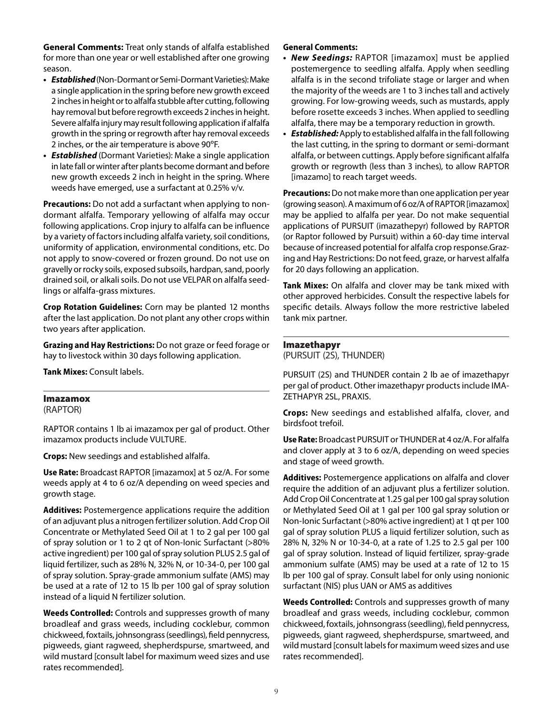**General Comments:** Treat only stands of alfalfa established for more than one year or well established after one growing season.

- *• Established* (Non-Dormant or Semi-Dormant Varieties): Make a single application in the spring before new growth exceed 2 inches in height or to alfalfa stubble after cutting, following hay removal but before regrowth exceeds 2 inches in height. Severe alfalfa injury may result following application if alfalfa growth in the spring or regrowth after hay removal exceeds 2 inches, or the air temperature is above 90°F.
- *• Established* (Dormant Varieties): Make a single application in late fall or winter after plants become dormant and before new growth exceeds 2 inch in height in the spring. Where weeds have emerged, use a surfactant at 0.25% v/v.

**Precautions:** Do not add a surfactant when applying to nondormant alfalfa. Temporary yellowing of alfalfa may occur following applications. Crop injury to alfalfa can be influence by a variety of factors including alfalfa variety, soil conditions, uniformity of application, environmental conditions, etc. Do not apply to snow-covered or frozen ground. Do not use on gravelly or rocky soils, exposed subsoils, hardpan, sand, poorly drained soil, or alkali soils. Do not use VELPAR on alfalfa seedlings or alfalfa-grass mixtures.

**Crop Rotation Guidelines:** Corn may be planted 12 months after the last application. Do not plant any other crops within two years after application.

**Grazing and Hay Restrictions:** Do not graze or feed forage or hay to livestock within 30 days following application.

**Tank Mixes:** Consult labels.

# Imazamox

(RAPTOR)

RAPTOR contains 1 lb ai imazamox per gal of product. Other imazamox products include VULTURE.

**Crops:** New seedings and established alfalfa.

**Use Rate:** Broadcast RAPTOR [imazamox] at 5 oz/A. For some weeds apply at 4 to 6 oz/A depending on weed species and growth stage.

**Additives:** Postemergence applications require the addition of an adjuvant plus a nitrogen fertilizer solution. Add Crop Oil Concentrate or Methylated Seed Oil at 1 to 2 gal per 100 gal of spray solution or 1 to 2 qt of Non-Ionic Surfactant (>80% active ingredient) per 100 gal of spray solution PLUS 2.5 gal of liquid fertilizer, such as 28% N, 32% N, or 10-34-0, per 100 gal of spray solution. Spray-grade ammonium sulfate (AMS) may be used at a rate of 12 to 15 lb per 100 gal of spray solution instead of a liquid N fertilizer solution.

**Weeds Controlled:** Controls and suppresses growth of many broadleaf and grass weeds, including cocklebur, common chickweed, foxtails, johnsongrass (seedlings), field pennycress, pigweeds, giant ragweed, shepherdspurse, smartweed, and wild mustard [consult label for maximum weed sizes and use rates recommended].

#### **General Comments:**

- *• New Seedings:* RAPTOR [imazamox] must be applied postemergence to seedling alfalfa. Apply when seedling alfalfa is in the second trifoliate stage or larger and when the majority of the weeds are 1 to 3 inches tall and actively growing. For low-growing weeds, such as mustards, apply before rosette exceeds 3 inches. When applied to seedling alfalfa, there may be a temporary reduction in growth.
- *• Established:* Apply to established alfalfa in the fall following the last cutting, in the spring to dormant or semi-dormant alfalfa, or between cuttings. Apply before significant alfalfa growth or regrowth (less than 3 inches), to allow RAPTOR [imazamo] to reach target weeds.

**Precautions:** Do not make more than one application per year (growing season). A maximum of 6 oz/A of RAPTOR [imazamox] may be applied to alfalfa per year. Do not make sequential applications of PURSUIT (imazathepyr) followed by RAPTOR (or Raptor followed by Pursuit) within a 60-day time interval because of increased potential for alfalfa crop response.Grazing and Hay Restrictions: Do not feed, graze, or harvest alfalfa for 20 days following an application.

**Tank Mixes:** On alfalfa and clover may be tank mixed with other approved herbicides. Consult the respective labels for specific details. Always follow the more restrictive labeled tank mix partner.

#### Imazethapyr

(PURSUIT (2S), THUNDER)

PURSUIT (2S) and THUNDER contain 2 lb ae of imazethapyr per gal of product. Other imazethapyr products include IMA-ZETHAPYR 2SL, PRAXIS.

**Crops:** New seedings and established alfalfa, clover, and birdsfoot trefoil.

**Use Rate:** Broadcast PURSUIT or THUNDER at 4 oz/A. For alfalfa and clover apply at 3 to 6 oz/A, depending on weed species and stage of weed growth.

**Additives:** Postemergence applications on alfalfa and clover require the addition of an adjuvant plus a fertilizer solution. Add Crop Oil Concentrate at 1.25 gal per 100 gal spray solution or Methylated Seed Oil at 1 gal per 100 gal spray solution or Non-Ionic Surfactant (>80% active ingredient) at 1 qt per 100 gal of spray solution PLUS a liquid fertilizer solution, such as 28% N, 32% N or 10-34-0, at a rate of 1.25 to 2.5 gal per 100 gal of spray solution. Instead of liquid fertilizer, spray-grade ammonium sulfate (AMS) may be used at a rate of 12 to 15 lb per 100 gal of spray. Consult label for only using nonionic surfactant (NIS) plus UAN or AMS as additives

**Weeds Controlled:** Controls and suppresses growth of many broadleaf and grass weeds, including cocklebur, common chickweed, foxtails, johnsongrass (seedling), field pennycress, pigweeds, giant ragweed, shepherdspurse, smartweed, and wild mustard [consult labels for maximum weed sizes and use rates recommended].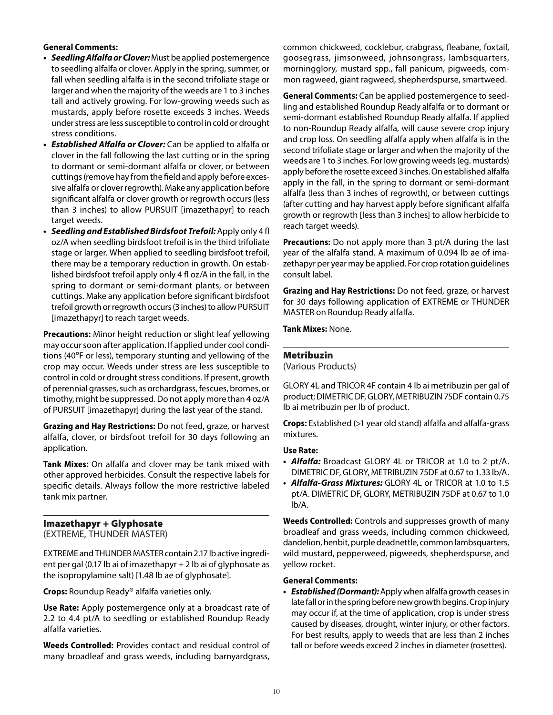### **General Comments:**

- *• Seedling Alfalfa or Clover:* Must be applied postemergence to seedling alfalfa or clover. Apply in the spring, summer, or fall when seedling alfalfa is in the second trifoliate stage or larger and when the majority of the weeds are 1 to 3 inches tall and actively growing. For low-growing weeds such as mustards, apply before rosette exceeds 3 inches. Weeds under stress are less susceptible to control in cold or drought stress conditions.
- *• Established Alfalfa or Clover:* Can be applied to alfalfa or clover in the fall following the last cutting or in the spring to dormant or semi-dormant alfalfa or clover, or between cuttings (remove hay from the field and apply before excessive alfalfa or clover regrowth). Make any application before significant alfalfa or clover growth or regrowth occurs (less than 3 inches) to allow PURSUIT [imazethapyr] to reach target weeds.
- *• Seedling and Established Birdsfoot Trefoil:* Apply only 4 fl oz/A when seedling birdsfoot trefoil is in the third trifoliate stage or larger. When applied to seedling birdsfoot trefoil, there may be a temporary reduction in growth. On established birdsfoot trefoil apply only 4 fl oz/A in the fall, in the spring to dormant or semi-dormant plants, or between cuttings. Make any application before significant birdsfoot trefoil growth or regrowth occurs (3 inches) to allow PURSUIT [imazethapyr] to reach target weeds.

**Precautions:** Minor height reduction or slight leaf yellowing may occur soon after application. If applied under cool conditions (40°F or less), temporary stunting and yellowing of the crop may occur. Weeds under stress are less susceptible to control in cold or drought stress conditions. If present, growth of perennial grasses, such as orchardgrass, fescues, bromes, or timothy, might be suppressed. Do not apply more than 4 oz/A of PURSUIT [imazethapyr] during the last year of the stand.

**Grazing and Hay Restrictions:** Do not feed, graze, or harvest alfalfa, clover, or birdsfoot trefoil for 30 days following an application.

**Tank Mixes:** On alfalfa and clover may be tank mixed with other approved herbicides. Consult the respective labels for specific details. Always follow the more restrictive labeled tank mix partner.

#### Imazethapyr + Glyphosate (EXTREME, THUNDER MASTER)

EXTREME and THUNDER MASTER contain 2.17 lb active ingredient per gal (0.17 lb ai of imazethapyr + 2 lb ai of glyphosate as the isopropylamine salt) [1.48 lb ae of glyphosate].

**Crops:** Roundup Ready® alfalfa varieties only.

**Use Rate:** Apply postemergence only at a broadcast rate of 2.2 to 4.4 pt/A to seedling or established Roundup Ready alfalfa varieties.

**Weeds Controlled:** Provides contact and residual control of many broadleaf and grass weeds, including barnyardgrass,

common chickweed, cocklebur, crabgrass, fleabane, foxtail, goosegrass, jimsonweed, johnsongrass, lambsquarters, morningglory, mustard spp., fall panicum, pigweeds, common ragweed, giant ragweed, shepherdspurse, smartweed.

**General Comments:** Can be applied postemergence to seedling and established Roundup Ready alfalfa or to dormant or semi-dormant established Roundup Ready alfalfa. If applied to non-Roundup Ready alfalfa, will cause severe crop injury and crop loss. On seedling alfalfa apply when alfalfa is in the second trifoliate stage or larger and when the majority of the weeds are 1 to 3 inches. For low growing weeds (eg. mustards) apply before the rosette exceed 3 inches. On established alfalfa apply in the fall, in the spring to dormant or semi-dormant alfalfa (less than 3 inches of regrowth), or between cuttings (after cutting and hay harvest apply before significant alfalfa growth or regrowth [less than 3 inches] to allow herbicide to reach target weeds).

**Precautions:** Do not apply more than 3 pt/A during the last year of the alfalfa stand. A maximum of 0.094 lb ae of imazethapyr per year may be applied. For crop rotation guidelines consult label.

**Grazing and Hay Restrictions:** Do not feed, graze, or harvest for 30 days following application of EXTREME or THUNDER MASTER on Roundup Ready alfalfa.

**Tank Mixes:** None.

## Metribuzin

(Various Products)

GLORY 4L and TRICOR 4F contain 4 lb ai metribuzin per gal of product; DIMETRIC DF, GLORY, METRIBUZIN 75DF contain 0.75 lb ai metribuzin per lb of product.

**Crops:** Established (>1 year old stand) alfalfa and alfalfa-grass mixtures.

#### **Use Rate:**

- *• Alfalfa:* Broadcast GLORY 4L or TRICOR at 1.0 to 2 pt/A. DIMETRIC DF, GLORY, METRIBUZIN 75DF at 0.67 to 1.33 lb/A.
- *• Alfalfa-Grass Mixtures:* GLORY 4L or TRICOR at 1.0 to 1.5 pt/A. DIMETRIC DF, GLORY, METRIBUZIN 75DF at 0.67 to 1.0 lb/A.

**Weeds Controlled:** Controls and suppresses growth of many broadleaf and grass weeds, including common chickweed, dandelion, henbit, purple deadnettle, common lambsquarters, wild mustard, pepperweed, pigweeds, shepherdspurse, and yellow rocket.

#### **General Comments:**

*• Established (Dormant):* Apply when alfalfa growth ceases in late fall or in the spring before new growth begins. Crop injury may occur if, at the time of application, crop is under stress caused by diseases, drought, winter injury, or other factors. For best results, apply to weeds that are less than 2 inches tall or before weeds exceed 2 inches in diameter (rosettes).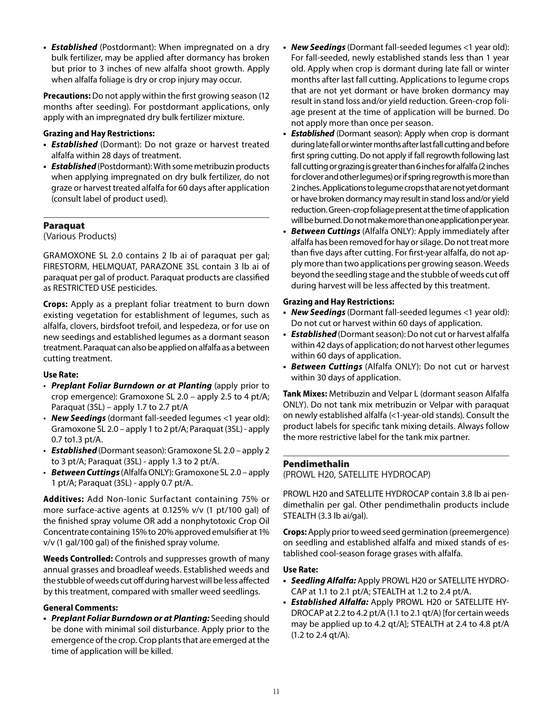*• Established* (Postdormant): When impregnated on a dry bulk fertilizer, may be applied after dormancy has broken but prior to 3 inches of new alfalfa shoot growth. Apply when alfalfa foliage is dry or crop injury may occur.

**Precautions:** Do not apply within the first growing season (12 months after seeding). For postdormant applications, only apply with an impregnated dry bulk fertilizer mixture.

#### **Grazing and Hay Restrictions:**

- *• Established* (Dormant): Do not graze or harvest treated alfalfa within 28 days of treatment.
- *• Established* (Postdormant): With some metribuzin products when applying impregnated on dry bulk fertilizer, do not graze or harvest treated alfalfa for 60 days after application (consult label of product used).

#### Paraquat

(Various Products)

GRAMOXONE SL 2.0 contains 2 lb ai of paraquat per gal; FIRESTORM, HELMQUAT, PARAZONE 3SL contain 3 lb ai of paraquat per gal of product. Paraquat products are classified as RESTRICTED USE pesticides.

**Crops:** Apply as a preplant foliar treatment to burn down existing vegetation for establishment of legumes, such as alfalfa, clovers, birdsfoot trefoil, and lespedeza, or for use on new seedings and established legumes as a dormant season treatment. Paraquat can also be applied on alfalfa as a between cutting treatment.

#### **Use Rate:**

- *Preplant Foliar Burndown or at Planting* (apply prior to crop emergence): Gramoxone SL 2.0 – apply 2.5 to 4 pt/A; Paraquat (3SL) – apply 1.7 to 2.7 pt/A
- *New Seedings* (dormant fall-seeded legumes <1 year old): Gramoxone SL 2.0 – apply 1 to 2 pt/A; Paraquat (3SL) - apply 0.7 to1.3 pt/A.
- *Established* (Dormant season): Gramoxone SL 2.0 apply 2 to 3 pt/A; Paraquat (3SL) - apply 1.3 to 2 pt/A.
- *Between Cuttings* (Alfalfa ONLY): Gramoxone SL 2.0 apply 1 pt/A; Paraquat (3SL) - apply 0.7 pt/A.

**Additives:** Add Non-Ionic Surfactant containing 75% or more surface-active agents at 0.125% v/v (1 pt/100 gal) of the finished spray volume OR add a nonphytotoxic Crop Oil Concentrate containing 15% to 20% approved emulsifier at 1% v/v (1 gal/100 gal) of the finished spray volume.

**Weeds Controlled:** Controls and suppresses growth of many annual grasses and broadleaf weeds. Established weeds and the stubble of weeds cut off during harvest will be less affected by this treatment, compared with smaller weed seedlings.

#### **General Comments:**

*• Preplant Foliar Burndown or at Planting:* Seeding should be done with minimal soil disturbance. Apply prior to the emergence of the crop. Crop plants that are emerged at the time of application will be killed.

- *• New Seedings* (Dormant fall-seeded legumes <1 year old): For fall-seeded, newly established stands less than 1 year old. Apply when crop is dormant during late fall or winter months after last fall cutting. Applications to legume crops that are not yet dormant or have broken dormancy may result in stand loss and/or yield reduction. Green-crop foliage present at the time of application will be burned. Do not apply more than once per season.
- *• Established* (Dormant season): Apply when crop is dormant during late fall or winter months after last fall cutting and before first spring cutting. Do not apply if fall regrowth following last fall cutting or grazing is greater than 6 inches for alfalfa (2 inches for clover and other legumes) or if spring regrowth is more than 2 inches. Applications to legume crops that are not yet dormant or have broken dormancy may result in stand loss and/or yield reduction. Green-crop foliage present at the time of application will be burned. Do not make more than one application per year.
- *• Between Cuttings* (Alfalfa ONLY): Apply immediately after alfalfa has been removed for hay or silage. Do not treat more than five days after cutting. For first-year alfalfa, do not apply more than two applications per growing season. Weeds beyond the seedling stage and the stubble of weeds cut off during harvest will be less affected by this treatment.

#### **Grazing and Hay Restrictions:**

- *• New Seedings* (Dormant fall-seeded legumes <1 year old): Do not cut or harvest within 60 days of application.
- *• Established* (Dormant season): Do not cut or harvest alfalfa within 42 days of application; do not harvest other legumes within 60 days of application.
- *• Between Cuttings* (Alfalfa ONLY): Do not cut or harvest within 30 days of application.

**Tank Mixes:** Metribuzin and Velpar L (dormant season Alfalfa ONLY). Do not tank mix metribuzin or Velpar with paraquat on newly established alfalfa (<1-year-old stands). Consult the product labels for specific tank mixing details. Always follow the more restrictive label for the tank mix partner.

#### Pendimethalin

(PROWL H20, SATELLITE HYDROCAP)

PROWL H20 and SATELLITE HYDROCAP contain 3.8 lb ai pendimethalin per gal. Other pendimethalin products include STEALTH (3.3 lb ai/gal).

**Crops:** Apply prior to weed seed germination (preemergence) on seedling and established alfalfa and mixed stands of established cool-season forage grases with alfalfa.

#### **Use Rate:**

- *• Seedling Alfalfa:* Apply PROWL H20 or SATELLITE HYDRO-CAP at 1.1 to 2.1 pt/A; STEALTH at 1.2 to 2.4 pt/A.
- *• Established Alfalfa:* Apply PROWL H20 or SATELLITE HY-DROCAP at 2.2 to 4.2 pt/A (1.1 to 2.1 qt/A) [for certain weeds may be applied up to 4.2 qt/A]; STEALTH at 2.4 to 4.8 pt/A (1.2 to 2.4 qt/A).